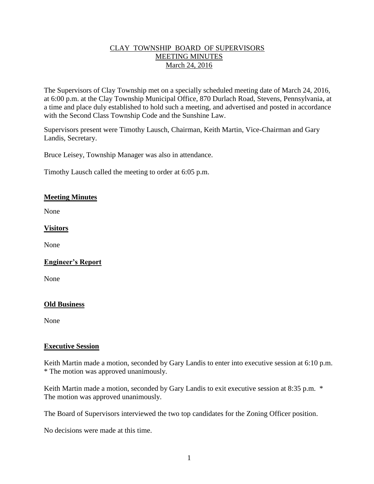## CLAY TOWNSHIP BOARD OF SUPERVISORS MEETING MINUTES March 24, 2016

The Supervisors of Clay Township met on a specially scheduled meeting date of March 24, 2016, at 6:00 p.m. at the Clay Township Municipal Office, 870 Durlach Road, Stevens, Pennsylvania, at a time and place duly established to hold such a meeting, and advertised and posted in accordance with the Second Class Township Code and the Sunshine Law.

Supervisors present were Timothy Lausch, Chairman, Keith Martin, Vice-Chairman and Gary Landis, Secretary.

Bruce Leisey, Township Manager was also in attendance.

Timothy Lausch called the meeting to order at 6:05 p.m.

### **Meeting Minutes**

None

### **Visitors**

None

# **Engineer's Report**

None

### **Old Business**

None

### **Executive Session**

Keith Martin made a motion, seconded by Gary Landis to enter into executive session at 6:10 p.m. \* The motion was approved unanimously.

Keith Martin made a motion, seconded by Gary Landis to exit executive session at 8:35 p.m. \* The motion was approved unanimously.

The Board of Supervisors interviewed the two top candidates for the Zoning Officer position.

No decisions were made at this time.